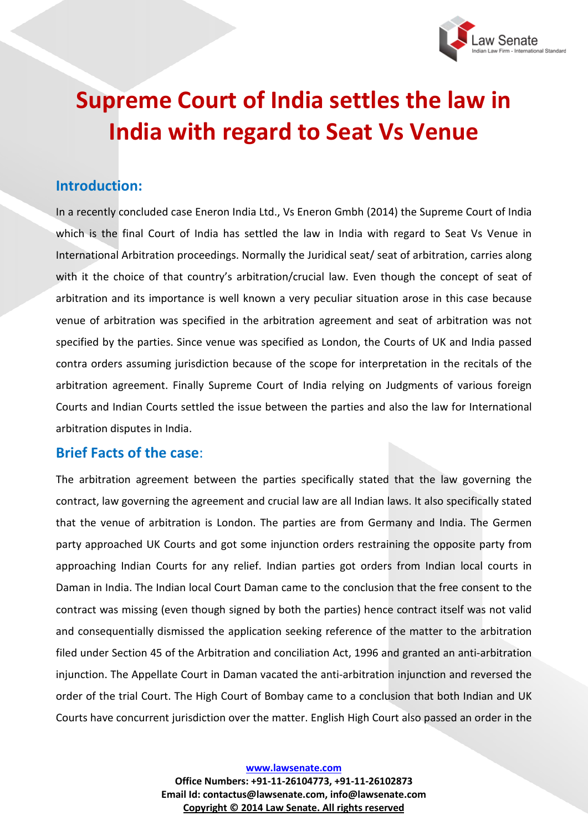

# **Supreme Court of India settles the law in India with regard to Seat Vs Venue**

#### **Introduction:**

In a recently concluded case Eneron India Ltd., Vs Eneron Gmbh (2014) the Supreme Court of India which is the final Court of India has settled the law in India with regard to Seat Vs Venue in International Arbitration proceedings. Normally the Juridical seat/ seat of arbitration, carries along with it the choice of that country's arbitration/crucial law. Even though the concept of seat of arbitration and its importance is well known a very peculiar situation arose in this case because venue of arbitration was specified in the arbitration agreement and seat of arbitration was not specified by the parties. Since venue was specified as London, the Courts of UK and India passed contra orders assuming jurisdiction because of the scope for interpretation in the recitals of the arbitration agreement. Finally Supreme Court of India relying on Judgments of various foreign Courts and Indian Courts settled the issue between the parties and also the law for International arbitration disputes in India.

#### **Brief Facts of the case**:

The arbitration agreement between the parties specifically stated that the law governing the contract, law governing the agreement and crucial law are all Indian laws. It also specifically stated that the venue of arbitration is London. The parties are from Germany and India. The Germen party approached UK Courts and got some injunction orders restraining the opposite party from approaching Indian Courts for any relief. Indian parties got orders from Indian local courts in Daman in India. The Indian local Court Daman came to the conclusion that the free consent to the contract was missing (even though signed by both the parties) hence contract itself was not valid and consequentially dismissed the application seeking reference of the matter to the arbitration filed under Section 45 of the Arbitration and conciliation Act, 1996 and granted an anti-arbitration injunction. The Appellate Court in Daman vacated the anti-arbitration injunction and reversed the order of the trial Court. The High Court of Bombay came to a conclusion that both Indian and UK Courts have concurrent jurisdiction over the matter. English High Court also passed an order in the

**www.lawsenate.com**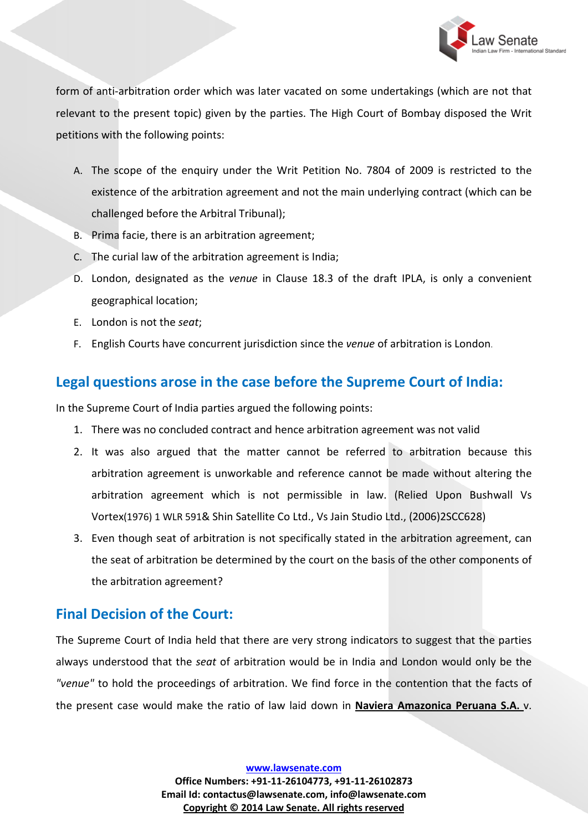

form of anti-arbitration order which was later vacated on some undertakings (which are not that relevant to the present topic) given by the parties. The High Court of Bombay disposed the Writ petitions with the following points:

- A. The scope of the enquiry under the Writ Petition No. 7804 of 2009 is restricted to the existence of the arbitration agreement and not the main underlying contract (which can be challenged before the Arbitral Tribunal);
- B. Prima facie, there is an arbitration agreement;
- C. The curial law of the arbitration agreement is India;
- D. London, designated as the *venue* in Clause 18.3 of the draft IPLA, is only a convenient geographical location;
- E. London is not the *seat*;
- F. English Courts have concurrent jurisdiction since the *venue* of arbitration is London.

### **Legal questions arose in the case before the Supreme Court of India:**

In the Supreme Court of India parties argued the following points:

- 1. There was no concluded contract and hence arbitration agreement was not valid
- 2. It was also argued that the matter cannot be referred to arbitration because this arbitration agreement is unworkable and reference cannot be made without altering the arbitration agreement which is not permissible in law. (Relied Upon Bushwall Vs Vortex(1976) 1 WLR 591& Shin Satellite Co Ltd., Vs Jain Studio Ltd., (2006)2SCC628)
- 3. Even though seat of arbitration is not specifically stated in the arbitration agreement, can the seat of arbitration be determined by the court on the basis of the other components of the arbitration agreement?

## **Final Decision of the Court:**

The Supreme Court of India held that there are very strong indicators to suggest that the parties always understood that the *seat* of arbitration would be in India and London would only be the *"venue"* to hold the proceedings of arbitration. We find force in the contention that the facts of the present case would make the ratio of law laid down in **Naviera Amazonica Peruana S.A.** v.

**www.lawsenate.com**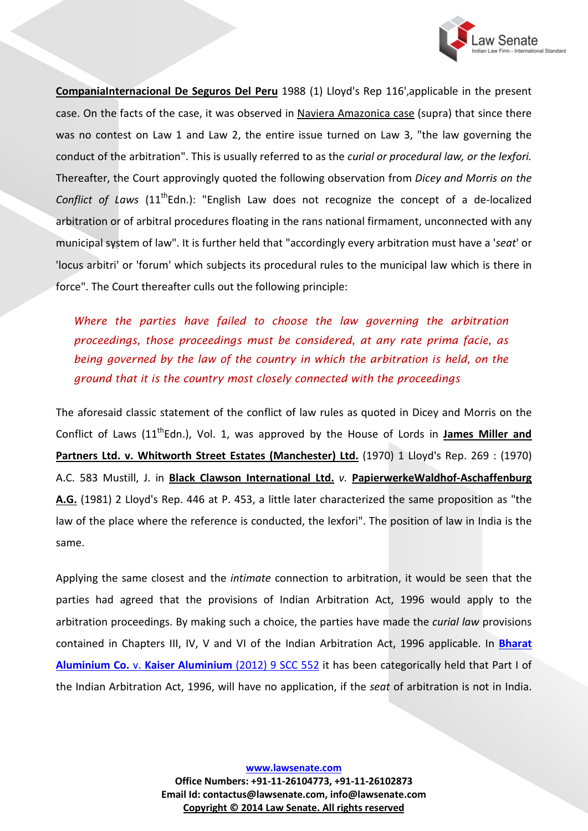

**CompaniaInternacional De Seguros Del Peru** 1988 (1) Lloyd's Rep 116',applicable in the present case. On the facts of the case, it was observed in Naviera Amazonica case (supra) that since there was no contest on Law 1 and Law 2, the entire issue turned on Law 3, "the law governing the conduct of the arbitration". This is usually referred to as the *curial or procedural law, or the lexfori.* Thereafter, the Court approvingly quoted the following observation from *Dicey and Morris on the Conflict of Laws* (11<sup>th</sup>Edn.): "English Law does not recognize the concept of a de-localized arbitration or of arbitral procedures floating in the rans national firmament, unconnected with any municipal system of law". It is further held that "accordingly every arbitration must have a '*seat*' or 'locus arbitri' or 'forum' which subjects its procedural rules to the municipal law which is there in force". The Court thereafter culls out the following principle:

*Where the parties have failed to choose the law governing the arbitration proceedings, those proceedings must be considered, at any rate prima facie, as being governed by the law of the country in which the arbitration is held, on the ground that it is the country most closely connected with the proceedings*

The aforesaid classic statement of the conflict of law rules as quoted in Dicey and Morris on the Conflict of Laws (11<sup>th</sup>Edn.), Vol. 1, was approved by the House of Lords in **James Miller and** Partners Ltd. v. Whitworth Street Estates (Manchester) Ltd. (1970) 1 Lloyd's Rep. 269 : (1970) A.C. 583 Mustill, J. in **Black Clawson International Ltd.** *v.* **PapierwerkeWaldhof-Aschaffenburg A.G.** (1981) 2 Lloyd's Rep. 446 at P. 453, a little later characterized the same proposition as "the law of the place where the reference is conducted, the lexfori". The position of law in India is the same.

Applying the same closest and the *intimate* connection to arbitration, it would be seen that the parties had agreed that the provisions of Indian Arbitration Act, 1996 would apply to the arbitration proceedings. By making such a choice, the parties have made the *curial law* provisions contained in Chapters III, IV, V and VI of the Indian Arbitration Act, 1996 applicable. In **[Bharat](http://www.lawsenate.com/case-studies/bharat-aluminium-company-vs-kaiser-aluminium-technical-services.html)  Aluminium Co.** v. **[Kaiser Aluminium](http://www.lawsenate.com/case-studies/bharat-aluminium-company-vs-kaiser-aluminium-technical-services.html)** (2012) 9 SCC 552 it has been categorically held that Part I of the Indian Arbitration Act, 1996, will have no application, if the *seat* of arbitration is not in India.

**www.lawsenate.com**